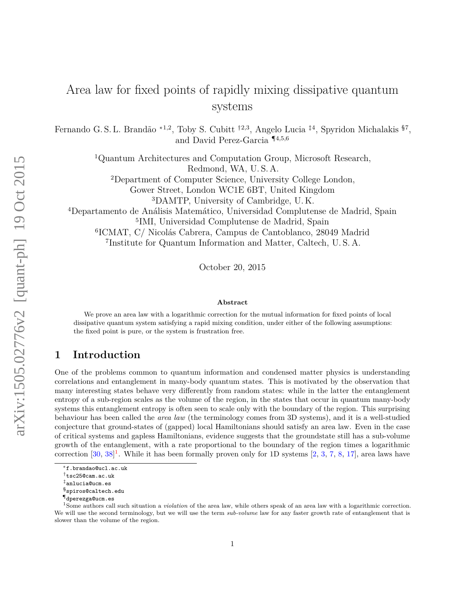Fernando G.S.L. Brandão \*<sup>1,2</sup>, Toby S. Cubitt <sup>†2,3</sup>, Angelo Lucia <sup>‡4</sup>, Spyridon Michalakis <sup>§7</sup>, and David Perez-Garcia ¶4,5,6

<sup>1</sup>Quantum Architectures and Computation Group, Microsoft Research, Redmond, WA, U. S. A. <sup>2</sup>Department of Computer Science, University College London, Gower Street, London WC1E 6BT, United Kingdom <sup>3</sup>DAMTP, University of Cambridge, U. K. <sup>4</sup>Departamento de Análisis Matemático, Universidad Complutense de Madrid, Spain 5 IMI, Universidad Complutense de Madrid, Spain <sup>6</sup>ICMAT, C/ Nicolás Cabrera, Campus de Cantoblanco, 28049 Madrid 7 Institute for Quantum Information and Matter, Caltech, U. S. A.

October 20, 2015

#### **Abstract**

We prove an area law with a logarithmic correction for the mutual information for fixed points of local dissipative quantum system satisfying a rapid mixing condition, under either of the following assumptions: the fixed point is pure, or the system is frustration free.

## **1 Introduction**

One of the problems common to quantum information and condensed matter physics is understanding correlations and entanglement in many-body quantum states. This is motivated by the observation that many interesting states behave very differently from random states: while in the latter the entanglement entropy of a sub-region scales as the volume of the region, in the states that occur in quantum many-body systems this entanglement entropy is often seen to scale only with the boundary of the region. This surprising behaviour has been called the *area law* (the terminology comes from 3D systems), and it is a well-studied conjecture that ground-states of (gapped) local Hamiltonians should satisfy an area law. Even in the case of critical systems and gapless Hamiltonians, evidence suggests that the groundstate still has a sub-volume growth of the entanglement, with a rate proportional to the boundary of the region times a logarithmic correction  $[30, 38]$  $[30, 38]$ <sup>[1](#page-0-0)</sup>. While it has been formally proven only for 1D systems  $[2, 3, 7, 8, 17]$  $[2, 3, 7, 8, 17]$  $[2, 3, 7, 8, 17]$  $[2, 3, 7, 8, 17]$  $[2, 3, 7, 8, 17]$  $[2, 3, 7, 8, 17]$  $[2, 3, 7, 8, 17]$  $[2, 3, 7, 8, 17]$ , area laws have

<sup>∗</sup>f.brandao@ucl.ac.uk

<sup>†</sup>tsc25@cam.ac.uk

<sup>‡</sup>anlucia@ucm.es

<sup>§</sup>spiros@caltech.edu

<span id="page-0-0"></span><sup>¶</sup>dperezga@ucm.es

<sup>1</sup>Some authors call such situation a *violation* of the area law, while others speak of an area law with a logarithmic correction. We will use the second terminology, but we will use the term *sub-volume* law for any faster growth rate of entanglement that is slower than the volume of the region.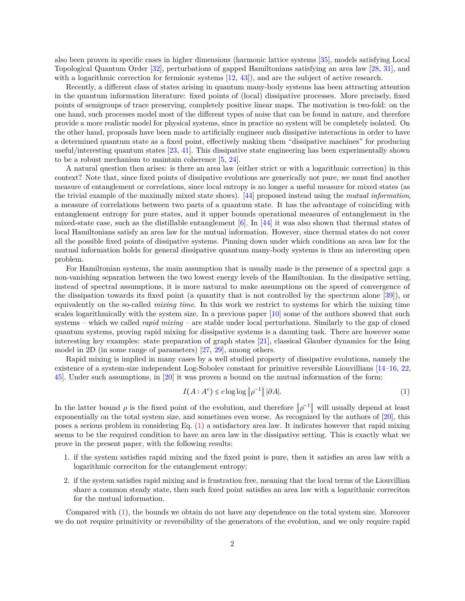also been proven in specific cases in higher dimensions (harmonic lattice systems [\[35\]](#page-16-2), models satisfying Local Topological Quantum Order [\[32\]](#page-16-3), perturbations of gapped Hamiltonians satisfying an area law [\[28,](#page-16-4) [31\]](#page-16-5), and with a logarithmic correction for fermionic systems [\[12,](#page-15-3) [43\]](#page-16-6)), and are the subject of active research.

Recently, a different class of states arising in quantum many-body systems has been attracting attention in the quantum information literature: fixed points of (local) dissipative processes. More precisely, fixed points of semigroups of trace preserving, completely positive linear maps. The motivation is two-fold: on the one hand, such processes model most of the different types of noise that can be found in nature, and therefore provide a more realistic model for physical systems, since in practice no system will be completely isolated. On the other hand, proposals have been made to artificially engineer such dissipative interactions in order to have a determined quantum state as a fixed point, effectively making them "dissipative machines" for producing useful/interesting quantum states [\[23,](#page-15-4) [41\]](#page-16-7). This dissipative state engineering has been experimentally shown to be a robust mechanism to maintain coherence [\[5,](#page-14-2) [24\]](#page-15-5).

A natural question then arises: is there an area law (either strict or with a logarithmic correction) in this context? Note that, since fixed points of dissipative evolutions are generically not pure, we must find another measure of entanglement or correlations, since local entropy is no longer a useful measure for mixed states (as the trivial example of the maximally mixed state shows). [\[44\]](#page-16-8) proposed instead using the *mutual information*, a measure of correlations between two parts of a quantum state. It has the advantage of coinciding with entanglement entropy for pure states, and it upper bounds operational measures of entanglement in the mixed-state case, such as the distillable entanglement  $[6]$ . In  $[44]$  it was also shown that thermal states of local Hamiltonians satisfy an area law for the mutual information. However, since thermal states do not cover all the possible fixed points of dissipative systems. Pinning down under which conditions an area law for the mutual information holds for general dissipative quantum many-body systems is thus an interesting open problem.

For Hamiltonian systems, the main assumption that is usually made is the presence of a spectral gap: a non-vanishing separation between the two lowest energy levels of the Hamiltonian. In the dissipative setting, instead of spectral assumptions, it is more natural to make assumptions on the speed of convergence of the dissipation towards its fixed point (a quantity that is not controlled by the spectrum alone [\[39\]](#page-16-9)), or equivalently on the so-called *mixing time*. In this work we restrict to systems for which the mixing time scales logarithmically with the system size. In a previous paper [\[10\]](#page-15-7) some of the authors showed that such systems – which we called *rapid mixing* – are stable under local perturbations. Similarly to the gap of closed quantum systems, proving rapid mixing for dissipative systems is a daunting task. There are however some interesting key examples: state preparation of graph states [\[21\]](#page-15-8), classical Glauber dynamics for the Ising model in 2D (in some range of parameters) [\[27,](#page-16-10) [29\]](#page-16-11), among others.

Rapid mixing is implied in many cases by a well studied property of dissipative evolutions, namely the existence of a system-size independent Log-Sobolev constant for primitive reversible Liouvillians [\[14–](#page-15-9)[16,](#page-15-10) [22,](#page-15-11) [45\]](#page-16-12). Under such assumptions, in [\[20\]](#page-15-12) it was proven a bound on the mutual information of the form:

<span id="page-1-0"></span>
$$
I(A : A^c) \le c \log \log ||\rho^{-1}|| |\partial A|. \tag{1}
$$

In the latter bound  $\rho$  is the fixed point of the evolution, and therefore  $\|\rho^{-1}\|$  will usually depend at least exponentially on the total system size, and sometimes even worse. As recognized by the authors of [\[20\]](#page-15-12), this poses a serious problem in considering Eq. [\(1\)](#page-1-0) a satisfactory area law. It indicates however that rapid mixing seems to be the required condition to have an area law in the dissipative setting. This is exactly what we prove in the present paper, with the following results:

- 1. if the system satisfies rapid mixing and the fixed point is pure, then it satisfies an area law with a logarithmic correciton for the entanglement entropy;
- 2. if the system satisfies rapid mixing and is frustration free, meaning that the local terms of the Liouvillian share a common steady state, then such fixed point satisfies an area law with a logarithmic correciton for the mutual information.

Compared with [\(1\)](#page-1-0), the bounds we obtain do not have any dependence on the total system size. Moreover we do not require primitivity or reversibility of the generators of the evolution, and we only require rapid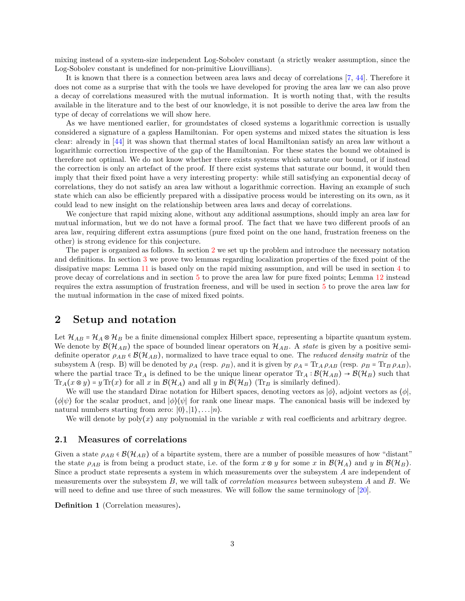mixing instead of a system-size independent Log-Sobolev constant (a strictly weaker assumption, since the Log-Sobolev constant is undefined for non-primitive Liouvillians).

It is known that there is a connection between area laws and decay of correlations [\[7,](#page-15-0) [44\]](#page-16-8). Therefore it does not come as a surprise that with the tools we have developed for proving the area law we can also prove a decay of correlations measured with the mutual information. It is worth noting that, with the results available in the literature and to the best of our knowledge, it is not possible to derive the area law from the type of decay of correlations we will show here.

As we have mentioned earlier, for groundstates of closed systems a logarithmic correction is usually considered a signature of a gapless Hamiltonian. For open systems and mixed states the situation is less clear: already in [\[44\]](#page-16-8) it was shown that thermal states of local Hamiltonian satisfy an area law without a logarithmic correction irrespective of the gap of the Hamiltonian. For these states the bound we obtained is therefore not optimal. We do not know whether there exists systems which saturate our bound, or if instead the correction is only an artefact of the proof. If there exist systems that saturate our bound, it would then imply that their fixed point have a very interesting property: while still satisfying an exponential decay of correlations, they do not satisfy an area law without a logarithmic correction. Having an example of such state which can also be efficiently prepared with a dissipative process would be interesting on its own, as it could lead to new insight on the relationship between area laws and decay of correlations.

We conjecture that rapid mixing alone, without any additional assumptions, should imply an area law for mutual information, but we do not have a formal proof. The fact that we have two different proofs of an area law, requiring different extra assumptions (pure fixed point on the one hand, frustration freeness on the other) is strong evidence for this conjecture.

The paper is organized as follows. In section [2](#page-2-0) we set up the problem and introduce the necessary notation and definitions. In section [3](#page-6-0) we prove two lemmas regarding localization properties of the fixed point of the dissipative maps: Lemma [11](#page-7-0) is based only on the rapid mixing assumption, and will be used in section [4](#page-11-0) to prove decay of correlations and in section [5](#page-12-0) to prove the area law for pure fixed points; Lemma [12](#page-7-1) instead requires the extra assumption of frustration freeness, and will be used in section [5](#page-12-0) to prove the area law for the mutual information in the case of mixed fixed points.

## <span id="page-2-0"></span>**2 Setup and notation**

Let  $\mathcal{H}_{AB} = \mathcal{H}_A \otimes \mathcal{H}_B$  be a finite dimensional complex Hilbert space, representing a bipartite quantum system. We denote by  $\mathcal{B}(\mathcal{H}_{AB})$  the space of bounded linear operators on  $\mathcal{H}_{AB}$ . A *state* is given by a positive semidefinite operator  $\rho_{AB} \in \mathcal{B}(\mathcal{H}_{AB})$ , normalized to have trace equal to one. The *reduced density matrix* of the subsystem A (resp. B) will be denoted by  $\rho_A$  (resp.  $\rho_B$ ), and it is given by  $\rho_A = \text{Tr}_A \rho_{AB}$  (resp.  $\rho_B = \text{Tr}_B \rho_{AB}$ ), where the partial trace Tr<sub>A</sub> is defined to be the unique linear operator Tr<sub>A</sub> ∶  $\mathcal{B}(\mathcal{H}_{AB}) \to \mathcal{B}(\mathcal{H}_B)$  such that  $Tr_A(x \otimes y) = y Tr(x)$  for all *x* in  $\mathcal{B}(\mathcal{H}_A)$  and all *y* in  $\mathcal{B}(\mathcal{H}_B)$  (Tr<sub>*B*</sub> is similarly defined).

We will use the standard Dirac notation for Hilbert spaces, denoting vectors as ∣*φ*⟩, adjoint vectors as ⟨*φ*∣, ⟨*φ*∣*ψ*⟩ for the scalar product, and ∣*φ*⟩⟨*ψ*∣ for rank one linear maps. The canonical basis will be indexed by natural numbers starting from zero:  $|0\rangle, |1\rangle, \ldots |n\rangle$ .

We will denote by  $poly(x)$  any polynomial in the variable x with real coefficients and arbitrary degree.

### **2.1 Measures of correlations**

Given a state  $\rho_{AB} \in \mathcal{B}(\mathcal{H}_{AB})$  of a bipartite system, there are a number of possible measures of how "distant" the state  $\rho_{AB}$  is from being a product state, i.e. of the form  $x \otimes y$  for some  $x$  in  $\mathcal{B}(\mathcal{H}_A)$  and  $y$  in  $\mathcal{B}(\mathcal{H}_B)$ . Since a product state represents a system in which measurements over the subsystem *A* are independent of measurements over the subsystem *B*, we will talk of *correlation measures* between subsystem *A* and *B*. We will need to define and use three of such measures. We will follow the same terminology of [\[20\]](#page-15-12).

**Definition 1** (Correlation measures)**.**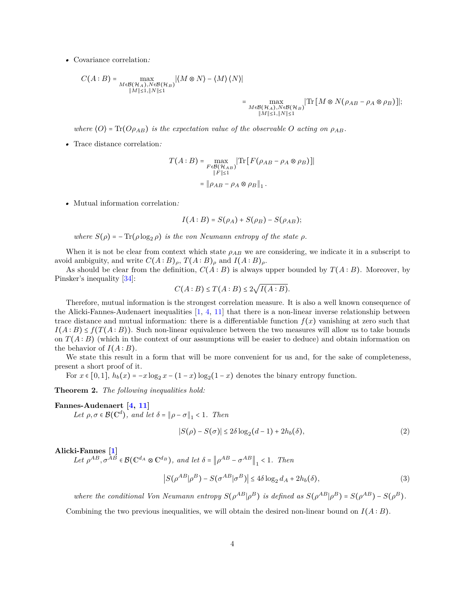*•* Covariance correlation*:*

$$
C(A:B) = \max_{\substack{M \in \mathcal{B}(\mathcal{H}_A), N \in \mathcal{B}(\mathcal{H}_B) \\ \|M\| \le 1, \|N\| \le 1}} |\langle M \otimes N \rangle - \langle M \rangle \langle N \rangle|
$$
  

$$
= \max_{\substack{M \in \mathcal{B}(\mathcal{H}_A), N \in \mathcal{B}(\mathcal{H}_B) \\ \|M\| \le 1, \|N\| \le 1}} |\text{Tr}\left[M \otimes N(\rho_{AB} - \rho_A \otimes \rho_B)\right]|;
$$

*where*  $\langle O \rangle$  = Tr( $O \rho_{AB}$ ) *is the expectation value of the observable*  $O$  *acting on*  $\rho_{AB}$ *.* 

*•* Trace distance correlation*:*

$$
T(A:B) = \max_{\substack{F \in \mathcal{B}(\mathcal{H}_{AB}) \\ \|F\| \le 1}} |\text{Tr}\left[F(\rho_{AB} - \rho_A \otimes \rho_B)\right]|
$$

$$
= \|\rho_{AB} - \rho_A \otimes \rho_B\|_1.
$$

*•* Mutual information correlation*:*

$$
I(A:B) = S(\rho_A) + S(\rho_B) - S(\rho_{AB});
$$

*where*  $S(\rho) = -\text{Tr}(\rho \log_2 \rho)$  *is the von Neumann entropy of the state*  $\rho$ *.* 

When it is not be clear from context which state  $\rho_{AB}$  we are considering, we indicate it in a subscript to avoid ambiguity, and write  $C(A:B)_{\rho}, T(A:B)_{\rho}$  and  $I(A:B)_{\rho}$ .

As should be clear from the definition,  $C(A:B)$  is always upper bounded by  $T(A:B)$ . Moreover, by Pinsker's inequality [\[34\]](#page-16-13): √

$$
C(A:B) \leq T(A:B) \leq 2\sqrt{I(A:B)}.
$$

Therefore, mutual information is the strongest correlation measure. It is also a well known consequence of the Alicki-Fannes-Audenaert inequalities  $[1, 4, 11]$  $[1, 4, 11]$  $[1, 4, 11]$  $[1, 4, 11]$  that there is a non-linear inverse relationship between trace distance and mutual information: there is a differentiable function  $f(x)$  vanishing at zero such that  $I(A:B) \leq f(T(A:B))$ . Such non-linear equivalence between the two measures will allow us to take bounds on  $T(A:B)$  (which in the context of our assumptions will be easier to deduce) and obtain information on the behavior of  $I(A:B)$ .

We state this result in a form that will be more convenient for us and, for the sake of completeness, present a short proof of it.

For  $x \in [0,1]$ ,  $h_b(x) = -x \log_2 x - (1-x) \log_2(1-x)$  denotes the binary entropy function.

**Theorem 2.** *The following inequalities hold:*

### **Fannes-Audenaert [\[4,](#page-14-4) [11\]](#page-15-13)**

Let  $\rho, \sigma \in \mathcal{B}(\mathbb{C}^d)$ , and let  $\delta = \|\rho - \sigma\|_1 < 1$ . Then

<span id="page-3-1"></span><span id="page-3-0"></span>
$$
|S(\rho) - S(\sigma)| \le 2\delta \log_2(d-1) + 2h_b(\delta),\tag{2}
$$

**Alicki-Fannes [\[1\]](#page-14-3)**

Let 
$$
\rho^{AB}, \sigma^{\tilde{A}\tilde{B}} \in \mathcal{B}(\mathbb{C}^{d_A} \otimes \mathbb{C}^{d_B}),
$$
 and let  $\delta = ||\rho^{AB} - \sigma^{AB}||_1 < 1$ . Then  

$$
|S(\rho^{AB}|\rho^B) - S(\sigma^{AB}|\sigma^B)| \le 4\delta \log_2 d_A + 2h_b(\delta),
$$
(3)

where the conditional Von Neumann entropy  $S(\rho^{AB}|\rho^B)$  is defined as  $S(\rho^{AB}|\rho^B) = S(\rho^{AB}) - S(\rho^B)$ .

Combining the two previous inequalities, we will obtain the desired non-linear bound on  $I(A:B)$ .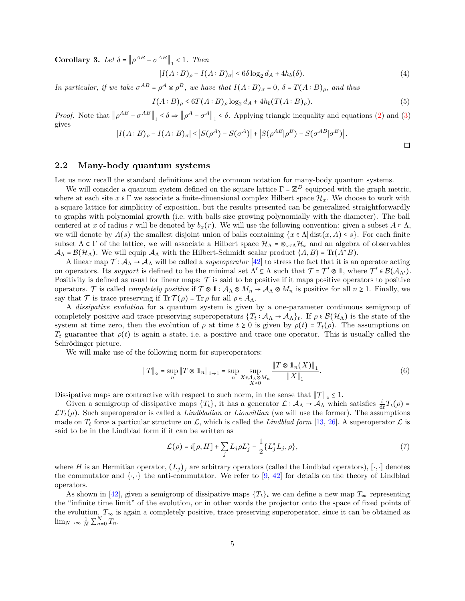**Corollary 3.** *Let*  $\delta = ||\rho^{AB} - \sigma^{AB}||_1 < 1$ *. Then* 

<span id="page-4-0"></span>
$$
|I(A:B)_{\rho} - I(A:B)_{\sigma}| \le 6\delta \log_2 d_A + 4h_b(\delta). \tag{4}
$$

 $\Box$ 

In particular, if we take  $\sigma^{AB} = \rho^A \otimes \rho^B$ , we have that  $I(A:B)_{\sigma} = 0$ ,  $\delta = T(A:B)_{\rho}$ , and thus

$$
I(A:B)_{\rho} \le 6T(A:B)_{\rho} \log_2 d_A + 4h_b(T(A:B)_{\rho}).
$$
\n<sup>(5)</sup>

*Proof.* Note that  $\left\|\rho^{AB} - \sigma^{AB}\right\|_1 \le \delta \Rightarrow \left\|\rho^A - \sigma^A\right\|_1 \le \delta$ . Applying triangle inequality and equations [\(2\)](#page-3-0) and [\(3\)](#page-3-1) gives

$$
|I(A:B)_{\rho}-I(A:B)_{\sigma}| \leq |S(\rho^{A})-S(\sigma^{A})|+|S(\rho^{AB}|\rho^{B})-S(\sigma^{AB}|\sigma^{B})|.
$$

### **2.2 Many-body quantum systems**

Let us now recall the standard definitions and the common notation for many-body quantum systems.

We will consider a quantum system defined on the square lattice  $\Gamma = \mathbb{Z}^D$  equipped with the graph metric, where at each site  $x \in \Gamma$  we associate a finite-dimensional complex Hilbert space  $\mathcal{H}_x$ . We choose to work with a square lattice for simplicity of exposition, but the results presented can be generalized straightforwardly to graphs with polynomial growth (i.e. with balls size growing polynomially with the diameter). The ball centered at *x* of radius *r* will be denoted by  $b_x(r)$ . We will use the following convention: given a subset  $A \subset \Lambda$ , we will denote by  $A(s)$  the smallest disjoint union of balls containing  $\{x \in \Lambda | \text{dist}(x, A) \leq s\}$ . For each finite subset  $\Lambda \subset \Gamma$  of the lattice, we will associate a Hilbert space  $\mathcal{H}_{\Lambda} = \otimes_{x \in \Lambda} \mathcal{H}_x$  and an algebra of observables  $A_{\Lambda} = \mathcal{B}(\mathcal{H}_{\Lambda})$ . We will equip  $A_{\Lambda}$  with the Hilbert-Schmidt scalar product  $\langle A, B \rangle = \text{Tr}(A^*B)$ .

A linear map  $\mathcal{T} : \mathcal{A}_{\Lambda} \to \mathcal{A}_{\Lambda}$  will be called a *superoperator* [\[42\]](#page-16-14) to stress the fact that it is an operator acting on operators. Its *support* is defined to be the minimal set  $\Lambda' \subseteq \Lambda$  such that  $\mathcal{T} = \mathcal{T}' \otimes \mathbb{1}$ , where  $\mathcal{T}' \in \mathcal{B}(\mathcal{A}_{\Lambda'})$ . Positivity is defined as usual for linear maps:  $\mathcal T$  is said to be positive if it maps positive operators to positive operators. T is called *completely positive* if  $\mathcal{T} \otimes \mathbb{1} : \mathcal{A}_{\Lambda} \otimes M_n \to \mathcal{A}_{\Lambda} \otimes M_n$  is positive for all  $n \geq 1$ . Finally, we say that  $\mathcal T$  is trace preserving if  $\text{Tr } \mathcal T(\rho) = \text{Tr } \rho$  for all  $\rho \in A_\Lambda$ .

A *dissipative evolution* for a quantum system is given by a one-parameter continuous semigroup of completely positive and trace preserving superoperators  $\{T_t : A_\Lambda \to A_\Lambda\}_t$ . If  $\rho \in \mathcal{B}(\mathcal{H}_\Lambda)$  is the state of the system at time zero, then the evolution of  $\rho$  at time  $t \geq 0$  is given by  $\rho(t) = T_t(\rho)$ . The assumptions on  $T_t$  guarantee that  $\rho(t)$  is again a state, i.e. a positive and trace one operator. This is usually called the Schrödinger picture.

We will make use of the following norm for superoperators:

$$
\|T\|_{\diamond} = \sup_{n} \|T \otimes 1_{n}\|_{1 \to 1} = \sup_{n} \sup_{\substack{X \in \mathcal{A}_{\Lambda} \otimes M_{n} \\ X \neq 0}} \frac{\|T \otimes 1_{n}(X)\|_{1}}{\|X\|_{1}}.
$$
 (6)

Dissipative maps are contractive with respect to such norm, in the sense that  $||\mathcal{T}||_{\diamond} \leq 1$ .

Given a semigroup of dissipative maps  $\{T_t\}$ , it has a generator  $\mathcal{L} : \mathcal{A}_{\Lambda} \to \mathcal{A}_{\Lambda}$  which satisfies  $\frac{d}{dt}T_t(\rho) =$  $\mathcal{L}T_t(\rho)$ . Such superoperator is called a *Lindbladian* or *Liouvillian* (we will use the former). The assumptions made on  $T_t$  force a particular structure on  $\mathcal{L}$ , which is called the *Lindblad form* [\[13,](#page-15-14) [26\]](#page-15-15). A superoperator  $\mathcal{L}$  is said to be in the Lindblad form if it can be written as

$$
\mathcal{L}(\rho) = i[\rho, H] + \sum_{j} L_{j} \rho L_{j}^{*} - \frac{1}{2} \{L_{j}^{*} L_{j}, \rho\},\tag{7}
$$

where *H* is an Hermitian operator,  $(L_j)_j$  are arbitrary operators (called the Lindblad operators), [ $\cdot$ , ·] denotes the commutator and  $\{\cdot,\cdot\}$  the anti-commutator. We refer to [\[9,](#page-15-16) [42\]](#page-16-14) for details on the theory of Lindblad operators.

As shown in [\[42\]](#page-16-14), given a semigroup of dissipative maps  ${T_t}_{t\text{}}$  we can define a new map  $T_{\infty}$  representing the "infinite time limit" of the evolution, or in other words the projector onto the space of fixed points of the evolution.  $T_{\infty}$  is again a completely positive, trace preserving superoperator, since it can be obtained as  $\lim_{N\to\infty}\frac{1}{N}\sum_{n=0}^{N}T_n$ .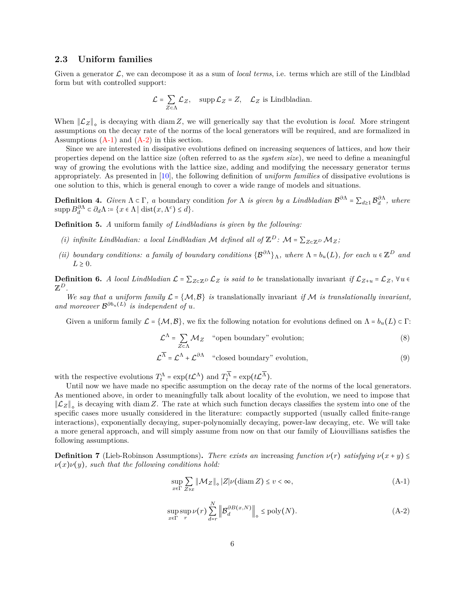### **2.3 Uniform families**

Given a generator  $\mathcal{L}$ , we can decompose it as a sum of *local terms*, i.e. terms which are still of the Lindblad form but with controlled support:

$$
\mathcal{L} = \sum_{Z \subset \Lambda} \mathcal{L}_Z, \quad \text{supp}\,\mathcal{L}_Z = Z, \quad \mathcal{L}_Z \text{ is Lindbladian.}
$$

When  $\|\mathcal{L}_Z\|_{\diamond}$  is decaying with diam Z, we will generically say that the evolution is *local*. More stringent assumptions on the decay rate of the norms of the local generators will be required, and are formalized in Assumptions  $(A-1)$  and  $(A-2)$  in this section.

Since we are interested in dissipative evolutions defined on increasing sequences of lattices, and how their properties depend on the lattice size (often referred to as the *system size*), we need to define a meaningful way of growing the evolutions with the lattice size, adding and modifying the necessary generator terms appropriately. As presented in [\[10\]](#page-15-7), the following definition of *uniform families* of dissipative evolutions is one solution to this, which is general enough to cover a wide range of models and situations.

**Definition 4.** *Given*  $\Lambda \subset \Gamma$ , *a* boundary condition *for*  $\Lambda$  *is given by a Lindbladian*  $\mathcal{B}^{\partial \Lambda} = \sum_{d \geq 1} \mathcal{B}_d^{\partial \Lambda}$ , where  $\supp B_d^{\partial \Lambda} \subset \partial_d \Lambda \coloneqq \{x \in \Lambda \mid \text{dist}(x, \Lambda^c) \leq d\}.$ 

**Definition 5.** *A* uniform family *of Lindbladians is given by the following:*

- (*i*) *infinite Lindbladian: a local Lindbladian*  $M$  *defined all of*  $\mathbb{Z}^D$ *:*  $M = \sum_{Z \subset \mathbb{Z}^D} M_Z$ *;*
- *(ii) boundary conditions: a family of boundary conditions*  $\{\mathcal{B}^{\partial \Lambda}\}_\Lambda$ *, where*  $\Lambda = b_u(L)$ *, for each*  $u \in \mathbb{Z}^D$  *and*  $L \geq 0$ .

**Definition 6.** *A local Lindbladian*  $\mathcal{L} = \sum_{Z \subset \mathbb{Z}^D} \mathcal{L}_Z$  *is said to be* translationally invariant *if*  $\mathcal{L}_{Z+u} = \mathcal{L}_Z$ ,  $\forall u \in \mathbb{Z}$  $\mathbb{Z}^D$ .

*We say that a uniform family*  $\mathcal{L} = \{M, B\}$  *is* translationally invariant *if* M *is translationally invariant,* and moreover  $\mathcal{B}^{\partial b_u(L)}$  is independent of *u*.

Given a uniform family  $\mathcal{L} = \{\mathcal{M}, \mathcal{B}\}\)$ , we fix the following notation for evolutions defined on  $\Lambda = b_u(L) \subset \Gamma$ :

$$
\mathcal{L}^{\Lambda} = \sum_{Z \in \Lambda} \mathcal{M}_Z \quad \text{``open boundary'' evolution;} \tag{8}
$$

$$
\mathcal{L}^{\Lambda} = \mathcal{L}^{\Lambda} + \mathcal{L}^{\partial \Lambda} \quad \text{``closed boundary'' evolution,} \tag{9}
$$

with the respective evolutions  $T_t^{\Lambda} = \exp(t\mathcal{L}^{\Lambda})$  and  $T_t^{\Lambda} = \exp(t\mathcal{L}^{\Lambda})$ .

Until now we have made no specific assumption on the decay rate of the norms of the local generators. As mentioned above, in order to meaningfully talk about locality of the evolution, we need to impose that ∥L*Z*∥◇ is decaying with diam *Z*. The rate at which such function decays classifies the system into one of the specific cases more usually considered in the literature: compactly supported (usually called finite-range interactions), exponentially decaying, super-polynomially decaying, power-law decaying, etc. We will take a more general approach, and will simply assume from now on that our family of Liouvillians satisfies the following assumptions.

<span id="page-5-1"></span>**Definition 7** (Lieb-Robinson Assumptions). *There exists an* increasing *function*  $\nu(r)$  *satisfying*  $\nu(x + y) \leq$  $\nu(x)\nu(y)$ *, such that the following conditions hold:* 

<span id="page-5-0"></span>
$$
\sup_{x \in \Gamma} \sum_{Z \ni x} \|\mathcal{M}_Z\|_{\diamond} |Z| \nu(\text{diam } Z) \le v < \infty,\tag{A-1}
$$

$$
\sup_{x \in \Gamma} \sup_{r} \nu(r) \sum_{d=r}^{N} \left\| \mathcal{B}_{d}^{\partial B(x,N)} \right\|_{\diamond} \le \text{poly}(N). \tag{A-2}
$$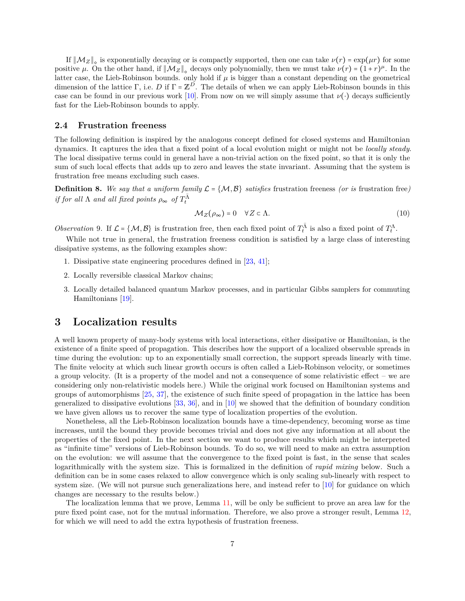If  $\|\mathcal{M}_Z\|_{\diamond}$  is exponentially decaying or is compactly supported, then one can take  $\nu(r) = \exp(\mu r)$  for some positive  $\mu$ . On the other hand, if  $\|\mathcal{M}_Z\|_{\diamond}$  decays only polynomially, then we must take  $\nu(r) = (1+r)^{\mu}$ . In the latter case, the Lieb-Robinson bounds. only hold if  $\mu$  is bigger than a constant depending on the geometrical dimension of the lattice  $\Gamma$ , i.e. *D* if  $\Gamma = \mathbb{Z}^D$ . The details of when we can apply Lieb-Robinson bounds in this case can be found in our previous work [\[10\]](#page-15-7). From now on we will simply assume that *ν*(⋅) decays sufficiently fast for the Lieb-Robinson bounds to apply.

### **2.4 Frustration freeness**

The following definition is inspired by the analogous concept defined for closed systems and Hamiltonian dynamics. It captures the idea that a fixed point of a local evolution might or might not be *locally steady*. The local dissipative terms could in general have a non-trivial action on the fixed point, so that it is only the sum of such local effects that adds up to zero and leaves the state invariant. Assuming that the system is frustration free means excluding such cases.

**Definition 8.** We say that a uniform family  $\mathcal{L} = \{M, B\}$  satisfies frustration freeness (or is frustration free) *if for all*  $\Lambda$  *and all fixed points*  $\rho_{\infty}$  *of*  $T_t^{\overline{\Lambda}}$ 

$$
\mathcal{M}_Z(\rho_\infty) = 0 \quad \forall Z \subset \Lambda. \tag{10}
$$

*Observation* 9. If  $\mathcal{L} = \{\mathcal{M}, \mathcal{B}\}\$ is frustration free, then each fixed point of  $T_t^{\overline{\Lambda}}$  is also a fixed point of  $T_t^{\Lambda}$ .

While not true in general, the frustration freeness condition is satisfied by a large class of interesting dissipative systems, as the following examples show:

- 1. Dissipative state engineering procedures defined in [\[23,](#page-15-4) [41\]](#page-16-7);
- 2. Locally reversible classical Markov chains;
- 3. Locally detailed balanced quantum Markov processes, and in particular Gibbs samplers for commuting Hamiltonians [\[19\]](#page-15-17).

### <span id="page-6-0"></span>**3 Localization results**

A well known property of many-body systems with local interactions, either dissipative or Hamiltonian, is the existence of a finite speed of propagation. This describes how the support of a localized observable spreads in time during the evolution: up to an exponentially small correction, the support spreads linearly with time. The finite velocity at which such linear growth occurs is often called a Lieb-Robinson velocity, or sometimes a group velocity. (It is a property of the model and not a consequence of some relativistic effect – we are considering only non-relativistic models here.) While the original work focused on Hamiltonian systems and groups of automorphisms [\[25,](#page-15-18) [37\]](#page-16-15), the existence of such finite speed of propagation in the lattice has been generalized to dissipative evolutions [\[33,](#page-16-16) [36\]](#page-16-17), and in [\[10\]](#page-15-7) we showed that the definition of boundary condition we have given allows us to recover the same type of localization properties of the evolution.

Nonetheless, all the Lieb-Robinson localization bounds have a time-dependency, becoming worse as time increases, until the bound they provide becomes trivial and does not give any information at all about the properties of the fixed point. In the next section we want to produce results which might be interpreted as "infinite time" versions of Lieb-Robinson bounds. To do so, we will need to make an extra assumption on the evolution: we will assume that the convergence to the fixed point is fast, in the sense that scales logarithmically with the system size. This is formalized in the definition of *rapid mixing* below. Such a definition can be in some cases relaxed to allow convergence which is only scaling sub-linearly with respect to system size. (We will not pursue such generalizations here, and instead refer to [\[10\]](#page-15-7) for guidance on which changes are necessary to the results below.)

The localization lemma that we prove, Lemma [11,](#page-7-0) will be only be sufficient to prove an area law for the pure fixed point case, not for the mutual information. Therefore, we also prove a stronger result, Lemma [12,](#page-7-1) for which we will need to add the extra hypothesis of frustration freeness.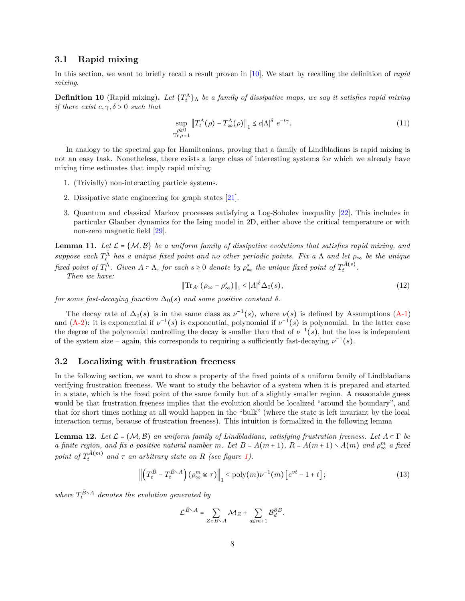### **3.1 Rapid mixing**

In this section, we want to briefly recall a result proven in [\[10\]](#page-15-7). We start by recalling the definition of *rapid mixing*.

**Definition 10** (Rapid mixing). Let  $\{T_t^{\Lambda}\}_\Lambda$  be a family of dissipative maps, we say it satisfies rapid mixing *if there exist*  $c, \gamma, \delta > 0$  *such that* 

<span id="page-7-3"></span>
$$
\sup_{\substack{\rho \ge 0 \\ \text{Tr }\rho = 1}} \left\| T_t^{\Lambda}(\rho) - T_\infty^{\Lambda}(\rho) \right\|_1 \le c |\Lambda|^{\delta} \ e^{-t\gamma}.
$$
\n(11)

In analogy to the spectral gap for Hamiltonians, proving that a family of Lindbladians is rapid mixing is not an easy task. Nonetheless, there exists a large class of interesting systems for which we already have mixing time estimates that imply rapid mixing:

- 1. (Trivially) non-interacting particle systems.
- 2. Dissipative state engineering for graph states [\[21\]](#page-15-8).
- 3. Quantum and classical Markov processes satisfying a Log-Sobolev inequality [\[22\]](#page-15-11). This includes in particular Glauber dynamics for the Ising model in 2D, either above the critical temperature or with non-zero magnetic field [\[29\]](#page-16-11).

<span id="page-7-0"></span>**Lemma 11.** Let  $\mathcal{L} = \{M, \mathcal{B}\}$  be a uniform family of dissipative evolutions that satisfies rapid mixing, and  $suppose each T_t^{\overline{\Lambda}}$  *has a unique fixed point and no other periodic points. Fix a*  $\Lambda$  *and let*  $\rho_{\infty}$  *be the unique fixed point of*  $T_t^{\overline{A}}$ *. Given*  $A \subset \Lambda$ *, for each*  $s \geq 0$  *denote by*  $\rho^s_{\infty}$  *the unique fixed point of*  $T_t^{\overline{A}(s)}$ *.* 

*Then we have:*

$$
\|\text{Tr}_{A^c}(\rho_\infty - \rho_\infty^s)\|_1 \le |A|^\delta \Delta_0(s),\tag{12}
$$

*for some fast-decaying function*  $\Delta_0(s)$  *and some positive constant*  $\delta$ *.* 

The decay rate of  $\Delta_0(s)$  is in the same class as  $\nu^{-1}(s)$ , where  $\nu(s)$  is defined by Assumptions [\(A-1\)](#page-5-0) and  $(A-2)$ : it is exponential if  $\nu^{-1}(s)$  is exponential, polynomial if  $\nu^{-1}(s)$  is polynomial. In the latter case the degree of the polynomial controlling the decay is smaller than that of  $\nu^{-1}(s)$ , but the loss is independent of the system size – again, this corresponds to requiring a sufficiently fast-decaying  $\nu^{-1}(s)$ .

#### **3.2 Localizing with frustration freeness**

In the following section, we want to show a property of the fixed points of a uniform family of Lindbladians verifying frustration freeness. We want to study the behavior of a system when it is prepared and started in a state, which is the fixed point of the same family but of a slightly smaller region. A reasonable guess would be that frustration freeness implies that the evolution should be localized "around the boundary", and that for short times nothing at all would happen in the "bulk" (where the state is left invariant by the local interaction terms, because of frustration freeness). This intuition is formalized in the following lemma

<span id="page-7-1"></span>**Lemma 12.** *Let*  $\mathcal{L} = (\mathcal{M}, \mathcal{B})$  *an uniform family of Lindbladians, satisfying frustration freeness. Let*  $A \subset \Gamma$  *be a finite region, and fix a positive natural number <i>m.* Let  $B = A(m + 1)$ ,  $R = A(m + 1) \setminus A(m)$  and  $\rho_{\infty}^{m}$  a fixed *point of*  $T_t^{\bar{A}(m)}$  *and*  $\tau$  *an arbitrary state on R (see figure [1\)](#page-8-0).* 

$$
\left\| \left( T_t^{\bar{B}} - T_t^{\bar{B} \times A} \right) (\rho_\infty^m \otimes \tau) \right\|_1 \le \text{poly}(m) \nu^{-1}(m) \left[ e^{vt} - 1 + t \right];\tag{13}
$$

 $where T_t^{\bar{B} \setminus A}$  *denotes the evolution generated by* 

<span id="page-7-2"></span>
$$
\mathcal{L}^{\bar{B}\times A} = \sum_{Z\subset B\smallsetminus A} \mathcal{M}_Z + \sum_{d\leq m+1} \mathcal{B}_d^{\partial B}.
$$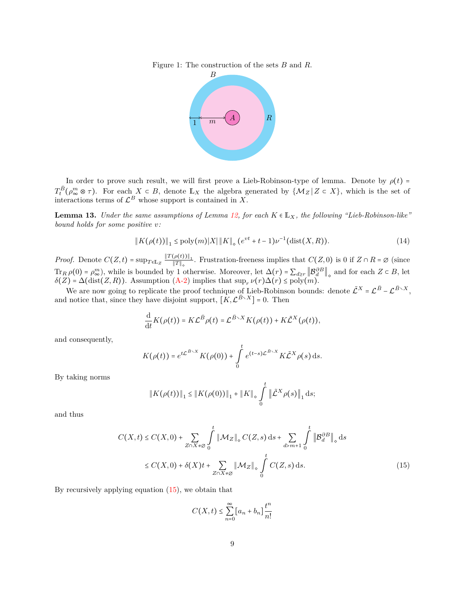Figure 1: The construction of the sets *B* and *R*.

<span id="page-8-0"></span>

In order to prove such result, we will first prove a Lieb-Robinson-type of lemma. Denote by  $\rho(t)$  =  $T_t^{\bar{B}}(\rho_\infty^m \otimes \tau)$ . For each  $X \subset B$ , denote  $\mathbb{L}_X$  the algebra generated by  $\{\mathcal{M}_Z | Z \subset X\}$ , which is the set of interactions terms of  $\mathcal{L}^B$  whose support is contained in X.

**Lemma 13.** *Under the same assumptions of Lemma [12,](#page-7-1) for each*  $K \in \mathbb{L}_X$ *, the following "Lieb-Robinson-like" bound holds for some positive v:*

<span id="page-8-2"></span>
$$
||K(\rho(t))||_1 \le \text{poly}(m)|X| ||K||_2 (e^{vt} + t - 1)\nu^{-1}(\text{dist}(X, R)).
$$
\n(14)

*Proof.* Denote  $C(Z,t) = \sup_{T \in \mathbb{L}_Z} \frac{\|T(\rho(t))\|_1}{\|T\|_2}$  $\frac{\rho(t)}{\|T\|_{\infty}}$ . Frustration-freeness implies that  $C(Z, 0)$  is 0 if  $Z \cap R = \emptyset$  (since  $\text{Tr}_R \rho(0) = \rho_{\infty}^m$ , while is bounded by 1 otherwise. Moreover, let  $\Delta(r) = \sum_{d \geq r} ||B_d^{\partial B}||_{\infty}$  and for each  $Z \subset B$ , let  $\delta(Z) = \Delta(\text{dist}(Z, R))$ . Assumption [\(A-2\)](#page-5-1) implies that  $\sup_{r} \nu(r)\Delta(r) \le \text{poly}(m)$ .

We are now going to replicate the proof technique of Lieb-Robinson bounds: denote  $\tilde{\mathcal{L}}^X = \mathcal{L}^{\bar{B}} - \mathcal{L}^{\bar{B} \setminus X}$ , and notice that, since they have disjoint support,  $[K, \mathcal{L}^{\overline{B}\setminus X}] = 0$ . Then

$$
\frac{\mathrm{d}}{\mathrm{d}t}K(\rho(t)) = K\mathcal{L}^{\bar{B}}\rho(t) = \mathcal{L}^{\bar{B}\times X}K(\rho(t)) + K\tilde{\mathcal{L}}^X(\rho(t)),
$$

and consequently,

$$
K(\rho(t)) = e^{t\mathcal{L}^{\bar{B}\times X}} K(\rho(0)) + \int\limits_{0}^{t} e^{(t-s)\mathcal{L}^{\bar{B}\times X}} K\tilde{\mathcal{L}}^{X}\rho(s) ds.
$$

By taking norms

$$
\|K(\rho(t))\|_1 \le \|K(\rho(0))\|_1 + \|K\|_{\infty} \int_{0}^{t} \|\tilde{\mathcal{L}}^{X}\rho(s)\|_1 ds;
$$

and thus

$$
C(X,t) \leq C(X,0) + \sum_{Z \cap X \neq \emptyset} \int_{0}^{t} \|\mathcal{M}_{Z}\|_{\diamond} C(Z,s) ds + \sum_{d>m+1} \int_{0}^{t} \|\mathcal{B}_{d}^{\partial B}\|_{\diamond} ds
$$
  

$$
\leq C(X,0) + \delta(X)t + \sum_{Z \cap X \neq \emptyset} \|\mathcal{M}_{Z}\|_{\diamond} \int_{0}^{t} C(Z,s) ds.
$$
 (15)

By recursively applying equation  $(15)$ , we obtain that

<span id="page-8-1"></span>
$$
C(X,t) \leq \sum_{n=0}^{\infty} [a_n + b_n] \frac{t^n}{n!}
$$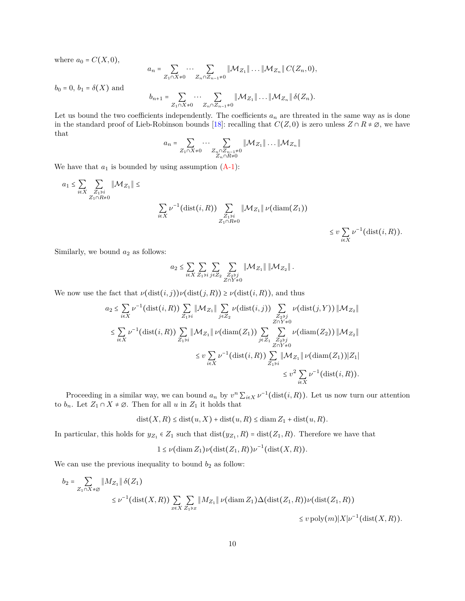where  $a_0 = C(X, 0)$ ,

$$
a_n = \sum_{Z_1 \cap X \neq 0} \cdots \sum_{Z_n \cap Z_{n-1} \neq 0} \|\mathcal{M}_{Z_1}\| \ldots \|\mathcal{M}_{Z_n}\| C(Z_n, 0),
$$

 $b_0 = 0, b_1 = \delta(X)$  and

$$
b_{n+1} = \sum_{Z_1 \cap X \neq 0} \cdots \sum_{Z_n \cap Z_{n-1} \neq 0} \|\mathcal{M}_{Z_1}\| \cdots \|\mathcal{M}_{Z_n}\| \delta(Z_n).
$$

Let us bound the two coefficients independently. The coefficients  $a_n$  are threated in the same way as is done in the standard proof of Lieb-Robinson bounds [\[18\]](#page-15-19): recalling that  $C(Z, 0)$  is zero unless  $Z \cap R \neq \emptyset$ , we have that

$$
a_n = \sum_{Z_1 \cap X \neq 0} \cdots \sum_{\substack{Z_n \cap Z_{n-1} \neq 0 \\ Z_n \cap R \neq 0}} \|\mathcal{M}_{Z_1}\| \dots \|\mathcal{M}_{Z_n}\|
$$

We have that  $a_1$  is bounded by using assumption  $(A-1)$ :

$$
a_1 \le \sum_{i \in X} \sum_{\substack{Z_1 \ni i \\ Z_1 \cap R \neq 0}} \|M_{Z_1}\| \le \sum_{i \in X} \nu^{-1}(\text{dist}(i, R)) \sum_{\substack{Z_1 \ni i \\ Z_1 \cap R \neq 0}} \|M_{Z_1}\| \nu(\text{diam}(Z_1))
$$

Similarly, we bound  $a_2$  as follows:

$$
a_2 \leq \sum_{i \in X} \sum_{Z_1 \ni i} \sum_{j \in Z_2} \sum_{\substack{Z_2 \ni j \ Z \cap Y \neq 0}} \|\mathcal{M}_{Z_1}\| \|\mathcal{M}_{Z_2}\|.
$$

≤ *v* ∑ *i*∈*X*

 $\nu^{-1}(\text{dist}(i, R)).$ 

We now use the fact that  $\nu(\text{dist}(i, j))\nu(\text{dist}(j, R)) \geq \nu(\text{dist}(i, R))$ , and thus

$$
a_2 \le \sum_{i \in X} \nu^{-1}(\text{dist}(i, R)) \sum_{Z_1 \ni i} \|\mathcal{M}_{Z_1}\| \sum_{j \in Z_2} \nu(\text{dist}(i, j)) \sum_{\substack{Z_2 \ni j \\ Z \cap Y \neq 0}} \nu(\text{dist}(j, Y)) \|\mathcal{M}_{Z_2}\|
$$
  

$$
\le \sum_{i \in X} \nu^{-1}(\text{dist}(i, R)) \sum_{Z_1 \ni i} \|\mathcal{M}_{Z_1}\| \nu(\text{diam}(Z_1)) \sum_{j \in Z_1} \sum_{\substack{Z_2 \ni j \\ Z \cap Y \neq 0}} \nu(\text{diam}(Z_2)) \|\mathcal{M}_{Z_2}\|
$$
  

$$
\le v \sum_{i \in X} \nu^{-1}(\text{dist}(i, R)) \sum_{Z_1 \ni i} \|\mathcal{M}_{Z_1}\| \nu(\text{diam}(Z_1)) |Z_1|
$$
  

$$
\le v^2 \sum_{i \in X} \nu^{-1}(\text{dist}(i, R)).
$$

Proceeding in a similar way, we can bound  $a_n$  by  $v^n \sum_{i \in X} v^{-1}(\text{dist}(i, R))$ . Let us now turn our attention to  $b_n$ . Let  $Z_1 \cap X \neq \emptyset$ . Then for all  $u$  in  $Z_1$  it holds that

$$
dist(X, R) \leq dist(u, X) + dist(u, R) \leq diam Z_1 + dist(u, R).
$$

In particular, this holds for  $y_{Z_1} \in Z_1$  such that  $dist(y_{Z_1}, R) = dist(Z_1, R)$ . Therefore we have that

$$
1 \leq \nu(\text{diam }Z_1)\nu(\text{dist}(Z_1,R))\nu^{-1}(\text{dist}(X,R)).
$$

We can use the previous inequality to bound  $b_2$  as follow:

$$
b_2 = \sum_{Z_1 \cap X \neq \emptyset} \|M_{Z_1}\| \delta(Z_1)
$$
  
\$\leq \nu^{-1}(\text{dist}(X, R)) \sum\_{x \in X} \sum\_{Z\_1 \ni x} \|M\_{Z\_1}\| \nu(\text{diam } Z\_1) \Delta(\text{dist}(Z\_1, R)) \nu(\text{dist}(Z\_1, R))\$  
\$\leq \nu\$ poly $(m)|X|\nu^{-1}(\text{dist}(X, R)).$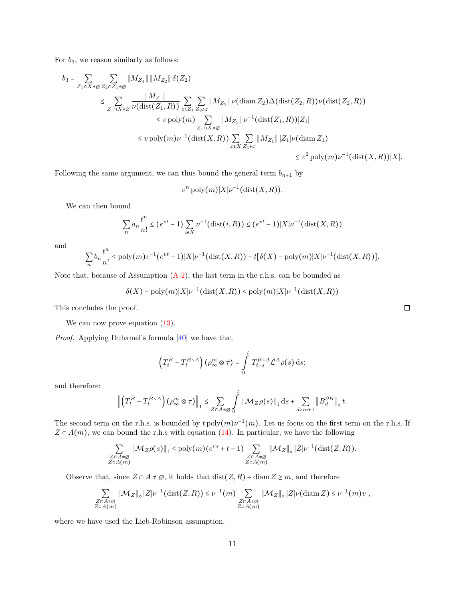For  $b_3$ , we reason similarly as follows:

$$
b_3 = \sum_{Z_1 \cap X + \emptyset} \sum_{Z_2 \cap Z_1 \neq \emptyset} \|M_{Z_1}\| \|M_{Z_2}\| \delta(Z_2)
$$
  
\n
$$
\leq \sum_{Z_1 \cap X \neq \emptyset} \frac{\|M_{Z_1}\|}{\nu(\text{dist}(Z_1, R))} \sum_{z \in Z_1} \sum_{Z_2 \ni z} \|M_{Z_2}\| \nu(\text{diam } Z_2) \Delta(\text{dist}(Z_2, R)) \nu(\text{dist}(Z_2, R))
$$
  
\n
$$
\leq v \text{ poly}(m) \sum_{Z_1 \cap X \neq \emptyset} \|M_{Z_1}\| \nu^{-1}(\text{dist}(Z_1, R)) |Z_1|
$$
  
\n
$$
\leq v \text{ poly}(m) \nu^{-1}(\text{dist}(X, R)) \sum_{x \in X} \sum_{Z_1 \ni x} \|M_{Z_1}\| |Z_1| \nu(\text{diam } Z_1)
$$
  
\n
$$
\leq v^2 \text{ poly}(m) \nu^{-1}(\text{dist}(X, R)) |X|.
$$

Following the same argument, we can thus bound the general term  $b_{n+1}$  by

$$
v^n \operatorname{poly}(m) |X| \nu^{-1}(\operatorname{dist}(X,R)).
$$

We can then bound

$$
\sum_{n} a_n \frac{t^n}{n!} \le (e^{vt} - 1) \sum_{i \in X} \nu^{-1}(\text{dist}(i, R)) \le (e^{vt} - 1)|X|\nu^{-1}(\text{dist}(X, R))
$$

and

$$
\sum_{n} b_n \frac{t^n}{n!} \le \text{poly}(m) v^{-1} (e^{vt} - 1) |X| \nu^{-1} (\text{dist}(X, R)) + t [\delta(X) - \text{poly}(m) |X| \nu^{-1} (\text{dist}(X, R))].
$$

Note that, because of Assumption [\(A-2\)](#page-5-1), the last term in the r.h.s. can be bounded as

$$
\delta(X) - \text{poly}(m)|X|\nu^{-1}(\text{dist}(X,R)) \le \text{poly}(m)|X|\nu^{-1}(\text{dist}(X,R))
$$

This concludes the proof.

We can now prove equation  $(13)$ .

*Proof.* Applying Duhamel's formula [\[40\]](#page-16-18) we have that

$$
\left(T_t^{\bar{B}}-T_t^{\bar{B}\smallsetminus A}\right)\left(\rho_\infty^m\otimes \tau\right)=\int\limits_0^t T_{t-s}^{\bar{B}\smallsetminus A}\tilde{\mathcal{L}}^A\rho(s)\,\mathrm{d}s;
$$

and therefore:

$$
\left\|\left(T^{\bar{B}}_t-T^{\bar{B}\smallsetminus A}_t\right)(\rho_\infty^m\otimes \tau)\right\|_1\leq \sum_{Z\cap A\neq \emptyset}\int\limits_0^t\left\|\mathcal{M}_Z\rho(s)\right\|_1{\mathord{{\rm d}}} s+\sum_{d>m+1}\left\|B^{ \partial B}_d\right\|_s t.
$$

The second term on the r.h.s. is bounded by  $t$  poly $(m)\nu^{-1}(m)$ . Let us focus on the first term on the r.h.s. If  $Z \subset A(m)$ , we can bound the r.h.s with equation [\(14\)](#page-8-2). In particular, we have the following

$$
\sum_{\substack{Z\cap A\neq\emptyset\\Z\subset A(m)}}\|\mathcal{M}_Z\rho(s)\|_1 \leq \text{poly}(m)(e^{vs}+t-1)\sum_{\substack{Z\cap A\neq\emptyset\\Z\subset A(m)}}\|\mathcal{M}_Z\|_{\diamond}|Z|\nu^{-1}(\text{dist}(Z,R)).
$$

Observe that, since  $Z \cap A \neq \emptyset$ , it holds that  $dist(Z, R) + diam Z \geq m$ , and therefore

$$
\sum_{\substack{Z \cap A \neq \emptyset \\ Z \subset A(m)}} \|\mathcal{M}_Z\|_{\diamond} |Z|\nu^{-1}(\text{dist}(Z,R)) \leq \nu^{-1}(m) \sum_{\substack{Z \cap A \neq \emptyset \\ Z \subset A(m)}} \|\mathcal{M}_Z\|_{\diamond} |Z|\nu(\text{diam}\,Z) \leq \nu^{-1}(m)v,
$$

where we have used the Lieb-Robinson assumption.

 $\Box$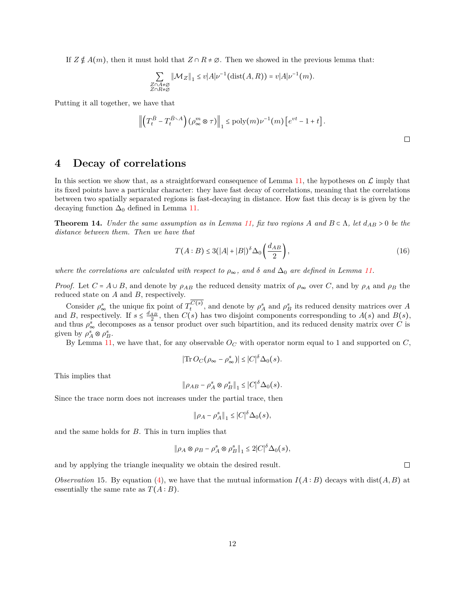If  $Z \notin A(m)$ , then it must hold that  $Z \cap R \neq \emptyset$ . Then we showed in the previous lemma that:

$$
\sum_{\substack{Z\cap A\neq \emptyset\\Z\cap R\neq \emptyset}} \|\mathcal{M}_Z\|_1 \le v|A|\nu^{-1}(\text{dist}(A,R)) = v|A|\nu^{-1}(m).
$$

Putting it all together, we have that

$$
\left\| \left( T_t^{\bar{B}} - T_t^{\bar{B} \wedge A} \right) (\rho_\infty^m \otimes \tau) \right\|_1 \le \text{poly}(m) \nu^{-1}(m) \left[ e^{vt} - 1 + t \right].
$$

# <span id="page-11-0"></span>**4 Decay of correlations**

In this section we show that, as a straightforward consequence of Lemma [11,](#page-7-0) the hypotheses on  $\mathcal L$  imply that its fixed points have a particular character: they have fast decay of correlations, meaning that the correlations between two spatially separated regions is fast-decaying in distance. How fast this decay is is given by the decaying function  $\Delta_0$  defined in Lemma [11.](#page-7-0)

**Theorem 14.** *Under the same assumption as in Lemma [11,](#page-7-0) fix two regions A and*  $B \subset \Lambda$ *, let*  $d_{AB} > 0$  *be the distance between them. Then we have that*

<span id="page-11-1"></span>
$$
T(A:B) \le 3(|A|+|B|)^{\delta} \Delta_0 \left(\frac{d_{AB}}{2}\right),\tag{16}
$$

*where the correlations are calculated with respect to*  $\rho_{\infty}$ *, and*  $\delta$  *and*  $\Delta_0$  *are defined in Lemma [11.](#page-7-0)* 

*Proof.* Let  $C = A \cup B$ , and denote by  $\rho_{AB}$  the reduced density matrix of  $\rho_{\infty}$  over *C*, and by  $\rho_A$  and  $\rho_B$  the reduced state on *A* and *B*, respectively.

Consider  $\rho^s_{\infty}$  the unique fix point of  $T_t^{C(s)}$ , and denote by  $\rho^s_A$  and  $\rho^s_B$  its reduced density matrices over *A* and *B*, respectively. If  $s \leq \frac{d_{AB}}{2}$ , then  $C(s)$  has two disjoint components corresponding to  $A(s)$  and  $B(s)$ , and thus  $\rho^s_{\infty}$  decomposes as a tensor product over such bipartition, and its reduced density matrix over *C* is given by  $\rho_A^s \otimes \rho_B^s$ .

By Lemma [11,](#page-7-0) we have that, for any observable  $O_C$  with operator norm equal to 1 and supported on  $C$ ,

$$
|\text{Tr}\,O_C(\rho_\infty-\rho_\infty^s)| \leq |C|^\delta \Delta_0(s).
$$

This implies that

$$
\|\rho_{AB} - \rho_A^s \otimes \rho_B^s\|_1 \leq |C|^\delta \Delta_0(s).
$$

Since the trace norm does not increases under the partial trace, then

$$
\|\rho_A - \rho_A^s\|_1 \leq |C|^\delta \Delta_0(s),
$$

and the same holds for *B*. This in turn implies that

$$
\|\rho_A \otimes \rho_B - \rho_A^s \otimes \rho_B^s\|_1 \leq 2|C|^{\delta} \Delta_0(s),
$$

and by applying the triangle inequality we obtain the desired result.

*Observation* 15. By equation [\(4\)](#page-4-0), we have that the mutual information  $I(A:B)$  decays with dist $(A, B)$  at essentially the same rate as  $T(A:B)$ .

 $\Box$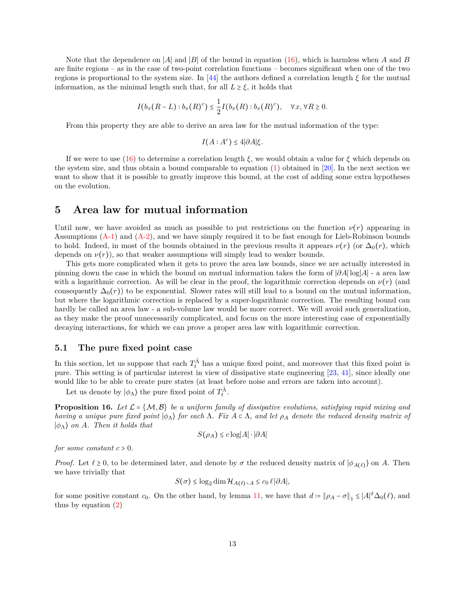Note that the dependence on ∣*A*∣ and ∣*B*∣ of the bound in equation [\(16\)](#page-11-1), which is harmless when *A* and *B* are finite regions – as in the case of two-point correlation functions – becomes significant when one of the two regions is proportional to the system size. In [\[44\]](#page-16-8) the authors defined a correlation length *ξ* for the mutual information, as the minimal length such that, for all  $L \geq \xi$ , it holds that

$$
I(b_x(R-L):b_x(R)^c) \leq \frac{1}{2}I(b_x(R):b_x(R)^c), \quad \forall x, \forall R \geq 0.
$$

From this property they are able to derive an area law for the mutual information of the type:

$$
I(A : A^c) \le 4|\partial A|\xi.
$$

If we were to use [\(16\)](#page-11-1) to determine a correlation length *ξ*, we would obtain a value for *ξ* which depends on the system size, and thus obtain a bound comparable to equation  $(1)$  obtained in [\[20\]](#page-15-12). In the next section we want to show that it is possible to greatly improve this bound, at the cost of adding some extra hypotheses on the evolution.

## <span id="page-12-0"></span>**5 Area law for mutual information**

Until now, we have avoided as much as possible to put restrictions on the function  $\nu(r)$  appearing in Assumptions  $(A-1)$  and  $(A-2)$ , and we have simply required it to be fast enough for Lieb-Robinson bounds to hold. Indeed, in most of the bounds obtained in the previous results it appears  $\nu(r)$  (or  $\Delta_0(r)$ , which depends on  $\nu(r)$ ), so that weaker assumptions will simply lead to weaker bounds.

This gets more complicated when it gets to prove the area law bounds, since we are actually interested in pinning down the case in which the bound on mutual information takes the form of ∣*∂A*∣ log∣*A*∣ - a area law with a logarithmic correction. As will be clear in the proof, the logarithmic correction depends on  $\nu(r)$  (and consequently  $\Delta_0(r)$ ) to be exponential. Slower rates will still lead to a bound on the mutual information, but where the logarithmic correction is replaced by a super-logarithmic correction. The resulting bound can hardly be called an area law - a sub-volume law would be more correct. We will avoid such generalization, as they make the proof unnecessarily complicated, and focus on the more interesting case of exponentially decaying interactions, for which we can prove a proper area law with logarithmic correction.

### **5.1 The pure fixed point case**

In this section, let us suppose that each  $T_t^{\bar{\Lambda}}$  has a unique fixed point, and moreover that this fixed point is pure. This setting is of particular interest in view of dissipative state engineering [\[23,](#page-15-4) [41\]](#page-16-7), since ideally one would like to be able to create pure states (at least before noise and errors are taken into account).

Let us denote by  $|\phi_{\Lambda}\rangle$  the pure fixed point of  $T_t^{\bar{\Lambda}}$ .

**Proposition 16.** Let  $\mathcal{L} = \{\mathcal{M}, \mathcal{B}\}$  be a uniform family of dissipative evolutions, satisfying rapid mixing and *having a unique pure fixed point* ∣*φ*Λ⟩ *for each* Λ*. Fix A* ⊂ Λ*, and let ρ<sup>A</sup> denote the reduced density matrix of* ∣*φ*Λ⟩ *on A. Then it holds that*

$$
S(\rho_A) \le c \log |A| \cdot |\partial A|
$$

*for some constant*  $c > 0$ *.* 

*Proof.* Let  $\ell \geq 0$ , to be determined later, and denote by  $\sigma$  the reduced density matrix of  $|\phi_{A(\ell)}\rangle$  on *A*. Then we have trivially that

$$
S(\sigma) \le \log_2 \dim \mathcal{H}_{A(\ell) \setminus A} \le c_0 \ell |\partial A|,
$$

for some positive constant *c*<sub>0</sub>. On the other hand, by lemma [11,](#page-7-0) we have that  $d = \|\rho_A - \sigma\|_1 \leq |A|^\delta \Delta_0(\ell)$ , and thus by equation [\(2\)](#page-3-0)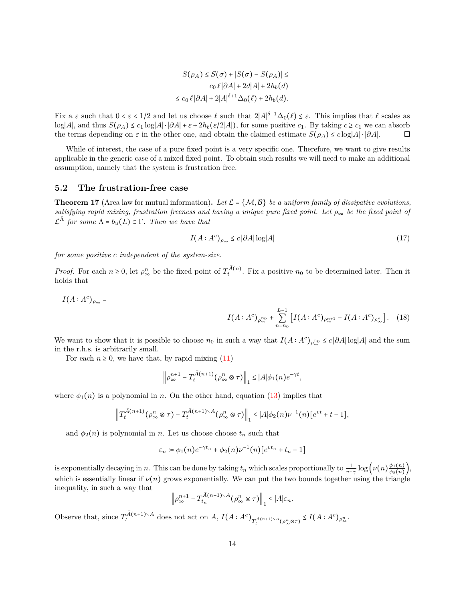$$
S(\rho_A) \leq S(\sigma) + |S(\sigma) - S(\rho_A)| \leq
$$
  

$$
c_0 \ell |\partial A| + 2d|A| + 2h_b(d)
$$
  

$$
\leq c_0 \ell |\partial A| + 2|A|^{\delta+1} \Delta_0(\ell) + 2h_b(d).
$$

Fix a  $\varepsilon$  such that  $0 < \varepsilon < 1/2$  and let us choose  $\ell$  such that  $2|A|^{\delta+1}\Delta_0(\ell) \leq \varepsilon$ . This implies that  $\ell$  scales as log|*A*|, and thus  $S(\rho_A) \leq c_1 \log|A| \cdot |\partial A| + \varepsilon + 2h_b(\varepsilon/2|A|)$ , for some positive  $c_1$ . By taking  $c \geq c_1$  we can absorb the terms depending on  $\varepsilon$  in the other one, and obtain the claimed estimate  $S(\rho_A) \leq c \log|A| \cdot |\partial A|$ .  $\Box$ 

While of interest, the case of a pure fixed point is a very specific one. Therefore, we want to give results applicable in the generic case of a mixed fixed point. To obtain such results we will need to make an additional assumption, namely that the system is frustration free.

#### **5.2 The frustration-free case**

**Theorem 17** (Area law for mutual information). Let  $\mathcal{L} = \{M, \mathcal{B}\}\$  be a uniform family of dissipative evolutions, *satisfying rapid mixing, frustration freeness and having a unique pure fixed point. Let ρ*<sup>∞</sup> *be the fixed point of*  $\mathcal{L}^{\overline{\Lambda}}$  for some  $\Lambda = b_u(L) \subset \Gamma$ . Then we have that

<span id="page-13-0"></span>
$$
I(A : A^c)_{\rho_\infty} \le c \left| \partial A \right| \log |A| \tag{17}
$$

*for some positive c independent of the system-size.*

*Proof.* For each  $n \geq 0$ , let  $\rho_{\infty}^n$  be the fixed point of  $T_t^{\bar{A}(n)}$ . Fix a positive  $n_0$  to be determined later. Then it holds that

$$
I(A:A^{c})_{\rho_{\infty}} = I(A:A^{c})_{\rho_{\infty}^{n_{0}}} + \sum_{n=n_{0}}^{L-1} \left[ I(A:A^{c})_{\rho_{\infty}^{n+1}} - I(A:A^{c})_{\rho_{\infty}^{n}} \right]. \tag{18}
$$

We want to show that it is possible to choose  $n_0$  in such a way that  $I(A: A^c)_{\rho^{n_0}_{\infty}} \leq c |\partial A| \log |A|$  and the sum in the r.h.s. is arbitrarily small.

For each  $n \geq 0$ , we have that, by rapid mixing  $(11)$ 

$$
\left\|\rho^{n+1}_{\infty}-T_t^{\bar{A}(n+1)}(\rho^n_{\infty}\otimes\tau)\right\|_1\leq |A|\phi_1(n)e^{-\gamma t},
$$

where  $\phi_1(n)$  is a polynomial in *n*. On the other hand, equation [\(13\)](#page-7-2) implies that

$$
\left\|T_t^{\bar{A}(n+1)}(\rho^n_{\infty}\otimes\tau)-T_t^{\bar{A}(n+1)\cdot A}(\rho^n_{\infty}\otimes\tau)\right\|_1\leq |A|\phi_2(n)\nu^{-1}(n)[e^{vt}+t-1],
$$

and  $\phi_2(n)$  is polynomial in *n*. Let us choose choose  $t_n$  such that

$$
\varepsilon_n \coloneqq \phi_1(n) e^{-\gamma t_n} + \phi_2(n) \nu^{-1}(n) \big[ e^{v t_n} + t_n - 1 \big]
$$

is exponentially decaying in *n*. This can be done by taking  $t_n$  which scales proportionally to  $\frac{1}{v+\gamma} \log (\nu(n) \frac{\phi_1(n)}{\phi_2(n)}$  $\frac{\varphi_1(n)}{\phi_2(n)}$ ), which is essentially linear if  $\nu(n)$  grows exponentially. We can put the two bounds together using the triangle inequality, in such a way that

$$
\left\|\rho^{n+1}_{\infty}-T_{t_n}^{\bar{A}(n+1)\times A}(\rho^n_{\infty}\otimes\tau)\right\|_{1}\leq |A|\varepsilon_n.
$$

Observe that, since  $T_t^{\bar{A}(n+1)\times A}$  does not act on A,  $I(A: A^c)_{T_t^{\bar{A}(n+1)\times A}(\rho_{\infty}^n\otimes\tau)} \leq I(A: A^c)_{\rho_{\infty}^n}$ .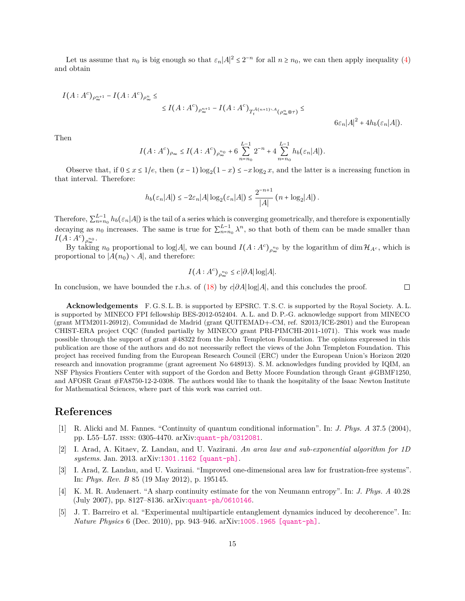Let us assume that  $n_0$  is big enough so that  $\varepsilon_n |A|^2 \leq 2^{-n}$  for all  $n \geq n_0$ , we can then apply inequality [\(4\)](#page-4-0) and obtain

$$
I(A: A^c)_{\rho^{n+1}_{\infty}} - I(A: A^c)_{\rho^n_{\infty}} \le
$$
  

$$
\leq I(A: A^c)_{\rho^{n+1}_{\infty}} - I(A: A^c)_{T_t^{\bar{A}(n+1)\wedge A}(\rho^n_{\infty} \otimes \tau)} \leq
$$
  

$$
6\varepsilon_n |A|^2 + 4h_b(\varepsilon_n |A|).
$$

Then

$$
I(A:A^{c})_{\rho_{\infty}} \leq I(A:A^{c})_{\rho_{\infty}^{n_{0}}} + 6\sum_{n=n_{0}}^{L-1} 2^{-n} + 4\sum_{n=n_{0}}^{L-1} h_{b}(\varepsilon_{n}|A|).
$$

Observe that, if  $0 \le x \le 1/e$ , then  $(x-1) \log_2(1-x) \le -x \log_2 x$ , and the latter is a increasing function in that interval. Therefore:

$$
h_b(\varepsilon_n|A|) \leq -2\varepsilon_n|A|\log_2(\varepsilon_n|A|) \leq \frac{2^{-n+1}}{|A|}\left(n+\log_2|A|\right).
$$

Therefore,  $\sum_{n=n_0}^{L-1} h_b(\varepsilon_n|A|)$  is the tail of a series which is converging geometrically, and therefore is exponentially decaying as  $n_0$  increases. The same is true for  $\sum_{n=n_0}^{L-1} \lambda^n$ , so that both of them can be made smaller than  $I(A: A^c)_{\rho^{n_0}_{\infty}}$ .

By taking  $n_0$  proportional to log|*A*|, we can bound  $I(A: A^c)_{\rho^{n_0}}$  by the logarithm of dim  $\mathcal{H}_{A^c}$ , which is proportional to  $|A(n_0) \setminus A|$ , and therefore:

$$
I(A : A^c)_{\rho^{n_0}_{\infty}} \le c |\partial A| \log |A|.
$$

In conclusion, we have bounded the r.h.s. of [\(18\)](#page-13-0) by *c*∣*∂A*∣ log∣*A*∣, and this concludes the proof.

 $\Box$ 

**Acknowledgements** F. G. S. L. B. is supported by EPSRC. T. S. C. is supported by the Royal Society. A. L. is supported by MINECO FPI fellowship BES-2012-052404. A. L. and D. P.-G. acknowledge support from MINECO (grant MTM2011-26912), Comunidad de Madrid (grant QUITEMAD+-CM, ref. S2013/ICE-2801) and the European CHIST-ERA project CQC (funded partially by MINECO grant PRI-PIMCHI-2011-1071). This work was made possible through the support of grant #48322 from the John Templeton Foundation. The opinions expressed in this publication are those of the authors and do not necessarily reflect the views of the John Templeton Foundation. This project has received funding from the European Research Council (ERC) under the European Union's Horizon 2020 research and innovation programme (grant agreement No 648913). S. M. acknowledges funding provided by IQIM, an NSF Physics Frontiers Center with support of the Gordon and Betty Moore Foundation through Grant #GBMF1250, and AFOSR Grant #FA8750-12-2-0308. The authors would like to thank the hospitality of the Isaac Newton Institute for Mathematical Sciences, where part of this work was carried out.

### **References**

- <span id="page-14-3"></span>[1] R. Alicki and M. Fannes. "Continuity of quantum conditional information". In: *J. Phys. A* 37.5 (2004), pp. L55–L57. issn: 0305-4470. arXiv:[quant-ph/0312081](http://arxiv.org/abs/quant-ph/0312081).
- <span id="page-14-0"></span>[2] I. Arad, A. Kitaev, Z. Landau, and U. Vazirani. *An area law and sub-exponential algorithm for 1D systems*. Jan. 2013. arXiv:[1301.1162 \[quant-ph\]](http://arxiv.org/abs/1301.1162).
- <span id="page-14-1"></span>[3] I. Arad, Z. Landau, and U. Vazirani. "Improved one-dimensional area law for frustration-free systems". In: *Phys. Rev. B* 85 (19 May 2012), p. 195145.
- <span id="page-14-4"></span>[4] K. M. R. Audenaert. "A sharp continuity estimate for the von Neumann entropy". In: *J. Phys. A* 40.28 (July 2007), pp. 8127–8136. arXiv:[quant-ph/0610146](http://arxiv.org/abs/quant-ph/0610146).
- <span id="page-14-2"></span>[5] J. T. Barreiro et al. "Experimental multiparticle entanglement dynamics induced by decoherence". In: *Nature Physics* 6 (Dec. 2010), pp. 943–946. arXiv:[1005.1965 \[quant-ph\]](http://arxiv.org/abs/1005.1965).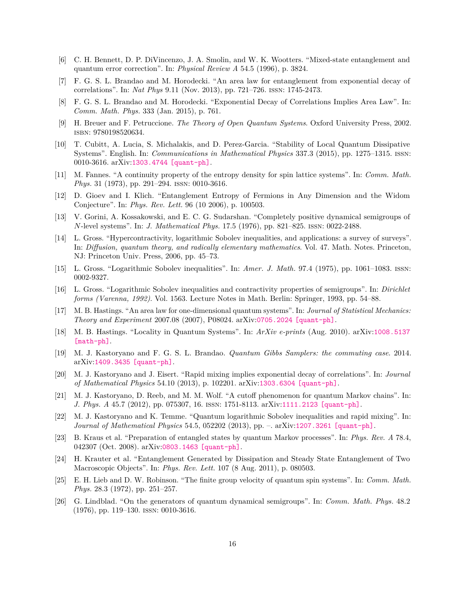- <span id="page-15-6"></span>[6] C. H. Bennett, D. P. DiVincenzo, J. A. Smolin, and W. K. Wootters. "Mixed-state entanglement and quantum error correction". In: *Physical Review A* 54.5 (1996), p. 3824.
- <span id="page-15-0"></span>[7] F. G. S. L. Brandao and M. Horodecki. "An area law for entanglement from exponential decay of correlations". In: *Nat Phys* 9.11 (Nov. 2013), pp. 721–726. issn: 1745-2473.
- <span id="page-15-1"></span>[8] F. G. S. L. Brandao and M. Horodecki. "Exponential Decay of Correlations Implies Area Law". In: *Comm. Math. Phys.* 333 (Jan. 2015), p. 761.
- <span id="page-15-16"></span>[9] H. Breuer and F. Petruccione. *The Theory of Open Quantum Systems*. Oxford University Press, 2002. isbn: 9780198520634.
- <span id="page-15-7"></span>[10] T. Cubitt, A. Lucia, S. Michalakis, and D. Perez-Garcia. "Stability of Local Quantum Dissipative Systems". English. In: *Communications in Mathematical Physics* 337.3 (2015), pp. 1275–1315. issn: 0010-3616. arXiv:[1303.4744 \[quant-ph\]](http://arxiv.org/abs/1303.4744).
- <span id="page-15-13"></span>[11] M. Fannes. "A continuity property of the entropy density for spin lattice systems". In: *Comm. Math. Phys.* 31 (1973), pp. 291–294. issn: 0010-3616.
- <span id="page-15-3"></span>[12] D. Gioev and I. Klich. "Entanglement Entropy of Fermions in Any Dimension and the Widom Conjecture". In: *Phys. Rev. Lett.* 96 (10 2006), p. 100503.
- <span id="page-15-14"></span>[13] V. Gorini, A. Kossakowski, and E. C. G. Sudarshan. "Completely positive dynamical semigroups of *N*-level systems". In: *J. Mathematical Phys.* 17.5 (1976), pp. 821–825. issn: 0022-2488.
- <span id="page-15-9"></span>[14] L. Gross. "Hypercontractivity, logarithmic Sobolev inequalities, and applications: a survey of surveys". In: *Diffusion, quantum theory, and radically elementary mathematics*. Vol. 47. Math. Notes. Princeton, NJ: Princeton Univ. Press, 2006, pp. 45–73.
- [15] L. Gross. "Logarithmic Sobolev inequalities". In: *Amer. J. Math.* 97.4 (1975), pp. 1061–1083. issn: 0002-9327.
- <span id="page-15-10"></span>[16] L. Gross. "Logarithmic Sobolev inequalities and contractivity properties of semigroups". In: *Dirichlet forms (Varenna, 1992)*. Vol. 1563. Lecture Notes in Math. Berlin: Springer, 1993, pp. 54–88.
- <span id="page-15-2"></span>[17] M. B. Hastings. "An area law for one-dimensional quantum systems". In: *Journal of Statistical Mechanics: Theory and Experiment* 2007.08 (2007), P08024. arXiv:[0705.2024 \[quant-ph\]](http://arxiv.org/abs/0705.2024).
- <span id="page-15-19"></span>[18] M. B. Hastings. "Locality in Quantum Systems". In: *ArXiv e-prints* (Aug. 2010). arXiv:[1008.5137](http://arxiv.org/abs/1008.5137) [\[math-ph\]](http://arxiv.org/abs/1008.5137).
- <span id="page-15-17"></span>[19] M. J. Kastoryano and F. G. S. L. Brandao. *Quantum Gibbs Samplers: the commuting case*. 2014. arXiv:[1409.3435 \[quant-ph\]](http://arxiv.org/abs/1409.3435).
- <span id="page-15-12"></span>[20] M. J. Kastoryano and J. Eisert. "Rapid mixing implies exponential decay of correlations". In: *Journal of Mathematical Physics* 54.10 (2013), p. 102201. arXiv:[1303.6304 \[quant-ph\]](http://arxiv.org/abs/1303.6304).
- <span id="page-15-8"></span>[21] M. J. Kastoryano, D. Reeb, and M. M. Wolf. "A cutoff phenomenon for quantum Markov chains". In: *J. Phys. A* 45.7 (2012), pp. 075307, 16. issn: 1751-8113. arXiv:[1111.2123 \[quant-ph\]](http://arxiv.org/abs/1111.2123).
- <span id="page-15-11"></span>[22] M. J. Kastoryano and K. Temme. "Quantum logarithmic Sobolev inequalities and rapid mixing". In: *Journal of Mathematical Physics* 54.5, 052202 (2013), pp. –. arXiv:[1207.3261 \[quant-ph\]](http://arxiv.org/abs/1207.3261).
- <span id="page-15-4"></span>[23] B. Kraus et al. "Preparation of entangled states by quantum Markov processes". In: *Phys. Rev. A* 78.4, 042307 (Oct. 2008). arXiv:[0803.1463 \[quant-ph\]](http://arxiv.org/abs/0803.1463).
- <span id="page-15-5"></span>[24] H. Krauter et al. "Entanglement Generated by Dissipation and Steady State Entanglement of Two Macroscopic Objects". In: *Phys. Rev. Lett.* 107 (8 Aug. 2011), p. 080503.
- <span id="page-15-18"></span>[25] E. H. Lieb and D. W. Robinson. "The finite group velocity of quantum spin systems". In: *Comm. Math. Phys.* 28.3 (1972), pp. 251–257.
- <span id="page-15-15"></span>[26] G. Lindblad. "On the generators of quantum dynamical semigroups". In: *Comm. Math. Phys.* 48.2 (1976), pp. 119–130. issn: 0010-3616.